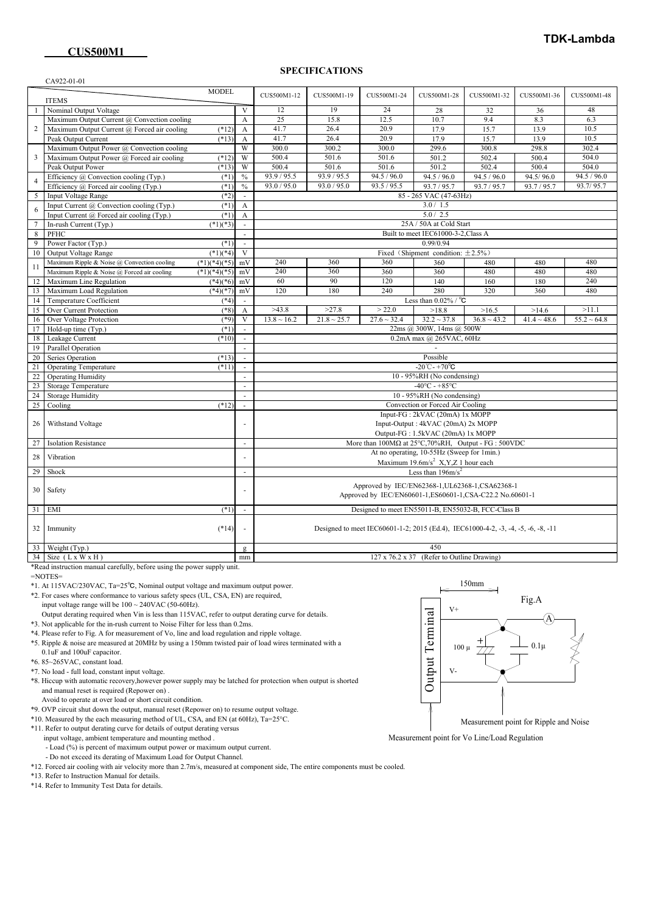#### **SPECIFICATIONS**

| CA922-01-01             |                                                                                                                                                                                          |                                |                                                                                   |                  |                                                  |                                          |                                                                                                                                                                                                                                    |             |             |  |
|-------------------------|------------------------------------------------------------------------------------------------------------------------------------------------------------------------------------------|--------------------------------|-----------------------------------------------------------------------------------|------------------|--------------------------------------------------|------------------------------------------|------------------------------------------------------------------------------------------------------------------------------------------------------------------------------------------------------------------------------------|-------------|-------------|--|
|                         | <b>MODEL</b>                                                                                                                                                                             |                                |                                                                                   |                  |                                                  |                                          |                                                                                                                                                                                                                                    |             |             |  |
|                         | <b>ITEMS</b>                                                                                                                                                                             |                                | CUS500M1-12                                                                       | CUS500M1-19      | CUS500M1-24                                      | CUS500M1-28                              | CUS500M1-32                                                                                                                                                                                                                        | CUS500M1-36 | CUS500M1-48 |  |
|                         | Nominal Output Voltage                                                                                                                                                                   | $\mathbf{V}$                   | 12                                                                                | 19               | 24                                               | 28                                       | 32                                                                                                                                                                                                                                 | 36          | 48          |  |
| 2                       | Maximum Output Current @ Convection cooling                                                                                                                                              | $\mathbf{A}$                   | 25                                                                                | 15.8             | 12.5                                             | 10.7                                     | 9.4                                                                                                                                                                                                                                | 8.3         | 6.3         |  |
|                         | Maximum Output Current @ Forced air cooling<br>$(*12)$                                                                                                                                   | A                              | 41.7                                                                              | 26.4             | 20.9                                             | 17.9                                     | 15.7                                                                                                                                                                                                                               | 13.9        | 10.5        |  |
|                         | Peak Output Current<br>$(*13)$                                                                                                                                                           | A                              | 41.7                                                                              | 26.4             | 20.9                                             | 17.9                                     | 15.7                                                                                                                                                                                                                               | 13.9        | 10.5        |  |
|                         | Maximum Output Power @ Convection cooling                                                                                                                                                | W                              | 300.0                                                                             | 300.2            | 300.0                                            | 299.6                                    | 300.8                                                                                                                                                                                                                              | 298.8       | 302.4       |  |
| $\overline{\mathbf{3}}$ | Maximum Output Power @ Forced air cooling<br>$(*12)$                                                                                                                                     | W                              | 500.4                                                                             | 501.6            | 501.6                                            | 501.2                                    | 502.4                                                                                                                                                                                                                              | 500.4       | 504.0       |  |
|                         | Peak Output Power<br>$(*13)$                                                                                                                                                             | W                              | 500.4                                                                             | 501.6            | 501.6                                            | 501.2                                    | 502.4                                                                                                                                                                                                                              | 500.4       | 504.0       |  |
| $\overline{4}$          | Efficiency @ Convection cooling (Typ.)<br>$(*1)$                                                                                                                                         | $\frac{0}{0}$                  | 93.9 / 95.5                                                                       | 93.9 / 95.5      | 94.5 / 96.0                                      | 94.5 / 96.0                              | 94.5 / 96.0                                                                                                                                                                                                                        | 94.5/96.0   | 94.5 / 96.0 |  |
|                         | Efficiency $\omega$ Forced air cooling (Typ.)<br>$(*1)$                                                                                                                                  | $\frac{0}{0}$                  | 93.0 / 95.0                                                                       | 93.0 / 95.0      | 93.5 / 95.5                                      | 93.7 / 95.7                              | 93.7 / 95.7                                                                                                                                                                                                                        | 93.7 / 95.7 | 93.7/95.7   |  |
| 5                       | <b>Input Voltage Range</b><br>$(*2)$                                                                                                                                                     |                                |                                                                                   |                  |                                                  | 85 - 265 VAC (47-63Hz)                   |                                                                                                                                                                                                                                    |             |             |  |
| -6                      | Input Current @ Convection cooling (Typ.)<br>$(*1)$                                                                                                                                      | $\mathbf{A}$                   |                                                                                   |                  |                                                  | 3.0 / 1.5                                |                                                                                                                                                                                                                                    |             |             |  |
|                         | Input Current @ Forced air cooling (Typ.)<br>$(*1)$                                                                                                                                      | A                              |                                                                                   |                  |                                                  | 5.0 / 2.5                                |                                                                                                                                                                                                                                    |             |             |  |
| $7\phantom{.0}$         | In-rush Current (Typ.)<br>$(*1)(*3)$                                                                                                                                                     |                                |                                                                                   |                  |                                                  | 25A / 50A at Cold Start                  |                                                                                                                                                                                                                                    |             |             |  |
| 8                       | PFHC                                                                                                                                                                                     |                                | Built to meet IEC61000-3-2, Class A                                               |                  |                                                  |                                          |                                                                                                                                                                                                                                    |             |             |  |
| 9                       | Power Factor (Typ.)<br>$(*1)$                                                                                                                                                            |                                | 0.99/0.94                                                                         |                  |                                                  |                                          |                                                                                                                                                                                                                                    |             |             |  |
| 10                      | Output Voltage Range<br>$(*1)(*4)$                                                                                                                                                       | V                              |                                                                                   |                  |                                                  | Fixed (Shipment condition: $\pm 2.5\%$ ) |                                                                                                                                                                                                                                    |             |             |  |
| 11<br>12<br>13          | Maximum Ripple & Noise @ Convection cooling<br>$(*1)(*4)(*5)$                                                                                                                            | mV                             | 240                                                                               | 360              | 360                                              | 360                                      | 480                                                                                                                                                                                                                                |             |             |  |
|                         | Maximum Ripple & Noise @ Forced air cooling<br>$(*1)(*4)(*5)$                                                                                                                            | mV                             | 240                                                                               | 360              | 360                                              | 360                                      | 480                                                                                                                                                                                                                                |             |             |  |
|                         | Maximum Line Regulation<br>$(*4)(*6)$                                                                                                                                                    | mV                             | 60                                                                                | 90               | 120                                              | 140                                      |                                                                                                                                                                                                                                    |             |             |  |
|                         | Maximum Load Regulation<br>$(*4)(*7)$                                                                                                                                                    | mV                             | 120                                                                               | 180              | 240                                              | 280                                      |                                                                                                                                                                                                                                    |             |             |  |
| 14                      | Temperature Coefficient<br>$(*4)$                                                                                                                                                        |                                |                                                                                   |                  |                                                  | Less than $0.02\%$ / °C                  |                                                                                                                                                                                                                                    |             |             |  |
| 15                      | Over Current Protection<br>$(*8)$                                                                                                                                                        | A                              | >43.8                                                                             | >27.8            | > 22.0                                           | >18.8                                    |                                                                                                                                                                                                                                    |             |             |  |
| 16                      | $(*9)$<br>Over Voltage Protection                                                                                                                                                        | V                              | $13.8 \sim 16.2$                                                                  | $21.8 \sim 25.7$ | $27.6 \sim 32.4$                                 | $32.2 \sim 37.8$                         |                                                                                                                                                                                                                                    |             |             |  |
| 17                      | Hold-up time (Typ.)<br>$(*1)$                                                                                                                                                            |                                |                                                                                   |                  |                                                  | 22ms @ 300W, 14ms @ 500W                 |                                                                                                                                                                                                                                    |             |             |  |
| 18                      | $(*10)$<br>Leakage Current                                                                                                                                                               |                                |                                                                                   |                  |                                                  | 0.2mA max @ 265VAC, 60Hz                 |                                                                                                                                                                                                                                    |             |             |  |
| 19                      | Parallel Operation                                                                                                                                                                       |                                |                                                                                   |                  |                                                  |                                          |                                                                                                                                                                                                                                    |             |             |  |
| 20                      |                                                                                                                                                                                          |                                |                                                                                   |                  |                                                  |                                          |                                                                                                                                                                                                                                    |             |             |  |
| 21                      | Possible<br>Series Operation<br>$(*13)$<br>$-20^{\circ}$ C - $+70^{\circ}$ C<br><b>Operating Temperature</b><br>$(*11)$<br>10 - 95%RH (No condensing)<br><b>Operating Humidity</b><br>×. |                                |                                                                                   |                  |                                                  |                                          |                                                                                                                                                                                                                                    |             |             |  |
| 22                      |                                                                                                                                                                                          |                                |                                                                                   |                  |                                                  |                                          | 480<br>480<br>480<br>480<br>240<br>160<br>180<br>320<br>360<br>480<br>>16.5<br>>11.1<br>>14.6<br>$36.8 \sim 43.2$<br>$41.4 \sim 48.6$<br>$55.2 \sim 64.8$<br>More than $100M\Omega$ at $25^{\circ}$ C, 70%RH, Output - FG : 500VDC |             |             |  |
| 23                      | Storage Temperature                                                                                                                                                                      |                                | $-40^{\circ}$ C - +85°C                                                           |                  |                                                  |                                          |                                                                                                                                                                                                                                    |             |             |  |
| 24                      | <b>Storage Humidity</b>                                                                                                                                                                  |                                |                                                                                   |                  |                                                  |                                          |                                                                                                                                                                                                                                    |             |             |  |
| 25                      | Cooling<br>$(*12)$                                                                                                                                                                       |                                | 10 - 95%RH (No condensing)<br>Convection or Forced Air Cooling                    |                  |                                                  |                                          |                                                                                                                                                                                                                                    |             |             |  |
|                         |                                                                                                                                                                                          | Input-FG: 2kVAC (20mA) 1x MOPP |                                                                                   |                  |                                                  |                                          |                                                                                                                                                                                                                                    |             |             |  |
| 26                      | Withstand Voltage                                                                                                                                                                        |                                | Input-Output: 4kVAC (20mA) 2x MOPP<br>Output-FG: 1.5kVAC (20mA) 1x MOPP           |                  |                                                  |                                          |                                                                                                                                                                                                                                    |             |             |  |
| 27                      | <b>Isolation Resistance</b>                                                                                                                                                              | $\sim$                         |                                                                                   |                  |                                                  |                                          |                                                                                                                                                                                                                                    |             |             |  |
|                         |                                                                                                                                                                                          |                                |                                                                                   |                  |                                                  |                                          |                                                                                                                                                                                                                                    |             |             |  |
| 28                      | Vibration                                                                                                                                                                                |                                | At no operating, 10-55Hz (Sweep for 1min.)                                        |                  |                                                  |                                          |                                                                                                                                                                                                                                    |             |             |  |
| 29                      | Shock                                                                                                                                                                                    | ÷.                             | Maximum 19.6m/s <sup>2</sup> X,Y,Z 1 hour each<br>Less than 196m/s <sup>2</sup>   |                  |                                                  |                                          |                                                                                                                                                                                                                                    |             |             |  |
|                         |                                                                                                                                                                                          |                                |                                                                                   |                  |                                                  |                                          |                                                                                                                                                                                                                                    |             |             |  |
| 30                      | Safety                                                                                                                                                                                   |                                |                                                                                   |                  | Approved by IEC/EN62368-1, UL62368-1, CSA62368-1 |                                          |                                                                                                                                                                                                                                    |             |             |  |
|                         |                                                                                                                                                                                          |                                | Approved by IEC/EN60601-1,ES60601-1,CSA-C22.2 No.60601-1                          |                  |                                                  |                                          |                                                                                                                                                                                                                                    |             |             |  |
| 31                      | EMI                                                                                                                                                                                      |                                | Designed to meet EN55011-B, EN55032-B, FCC-Class B                                |                  |                                                  |                                          |                                                                                                                                                                                                                                    |             |             |  |
|                         |                                                                                                                                                                                          | $(*1)$<br>$\mathcal{L}$        |                                                                                   |                  |                                                  |                                          |                                                                                                                                                                                                                                    |             |             |  |
| 32                      | Immunity<br>$(*14)$                                                                                                                                                                      |                                | Designed to meet IEC60601-1-2; 2015 (Ed.4), IEC61000-4-2, -3, -4, -5, -6, -8, -11 |                  |                                                  |                                          |                                                                                                                                                                                                                                    |             |             |  |
|                         |                                                                                                                                                                                          |                                |                                                                                   |                  |                                                  |                                          |                                                                                                                                                                                                                                    |             |             |  |
| 33 <sup>1</sup>         | Weight (Typ.)                                                                                                                                                                            | g                              | 450                                                                               |                  |                                                  |                                          |                                                                                                                                                                                                                                    |             |             |  |
|                         | $34$ Size (L x W x H)                                                                                                                                                                    | mm                             | 127 x 76.2 x 37 (Refer to Outline Drawing)                                        |                  |                                                  |                                          |                                                                                                                                                                                                                                    |             |             |  |
|                         |                                                                                                                                                                                          |                                |                                                                                   |                  |                                                  |                                          |                                                                                                                                                                                                                                    |             |             |  |

\*Read instruction manual carefully, before using the power supply unit.

=NOTES=

\*1. At 115VAC/230VAC, Ta=25℃, Nominal output voltage and maximum output power.

\*2. For cases where conformance to various safety specs (UL, CSA, EN) are required,

input voltage range will be  $100 \sim 240 \text{VAC}$  (50-60Hz).

Output derating required when Vin is less than 115VAC, refer to output derating curve for details.

\*3. Not applicable for the in-rush current to Noise Filter for less than 0.2ms.

\*4. Please refer to Fig. A for measurement of Vo, line and load regulation and ripple voltage.

 \*5. Ripple & noise are measured at 20MHz by using a 150mm twisted pair of load wires terminated with a 0.1uF and 100uF capacitor.

\*6. 85~265VAC, constant load.

\*7. No load - full load, constant input voltage.

 \*8. Hiccup with automatic recovery,however power supply may be latched for protection when output is shorted and manual reset is required (Repower on) .

Avoid to operate at over load or short circuit condition.

\*9. OVP circuit shut down the output, manual reset (Repower on) to resume output voltage.

\*10. Measured by the each measuring method of UL, CSA, and EN (at 60Hz), Ta=25°C.

\*11. Refer to output derating curve for details of output derating versus

input voltage, ambient temperature and mounting method .

- Load (%) is percent of maximum output power or maximum output current.

- Do not exceed its derating of Maximum Load for Output Channel.

\*12. Forced air cooling with air velocity more than 2.7m/s, measured at component side, The entire components must be cooled.

\*13. Refer to Instruction Manual for details.

\*14. Refer to Immunity Test Data for details.



Measurement point for Ripple and Noise

Measurement point for Vo Line/Load Regulation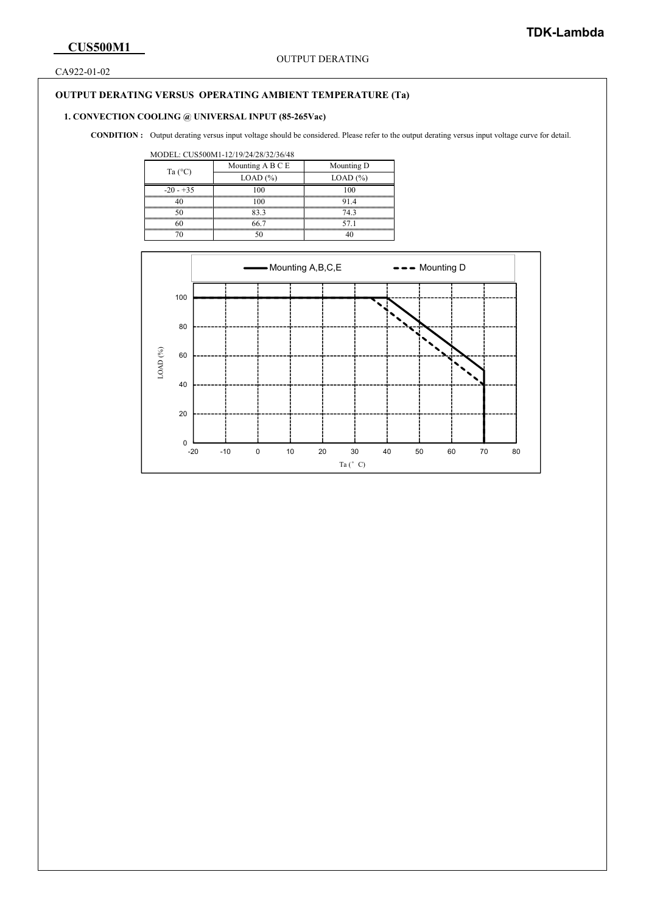CA922-01-02

## **OUTPUT DERATING VERSUS OPERATING AMBIENT TEMPERATURE (Ta)**

# **1. CONVECTION COOLING @ UNIVERSAL INPUT (85-265Vac)**

CONDITION : Output derating versus input voltage should be considered. Please refer to the output derating versus input voltage curve for detail.

#### MODEL: CUS500M1-12/19/24/28/32/36/48

| Ta $(^{\circ}C)$ | Mounting A B C E                             | Mounting D |  |  |
|------------------|----------------------------------------------|------------|--|--|
|                  | LOAD (%)                                     | LOAD (%)   |  |  |
| $-20 - +35$      |                                              |            |  |  |
|                  | ۱۵۵<br>,,,,,,,,,,,,,,,,,,,,,,,,,,,,,,,,,,,,, |            |  |  |
|                  | 83.3                                         | 74.3       |  |  |
|                  | 66 7                                         | 57.1       |  |  |
|                  |                                              |            |  |  |

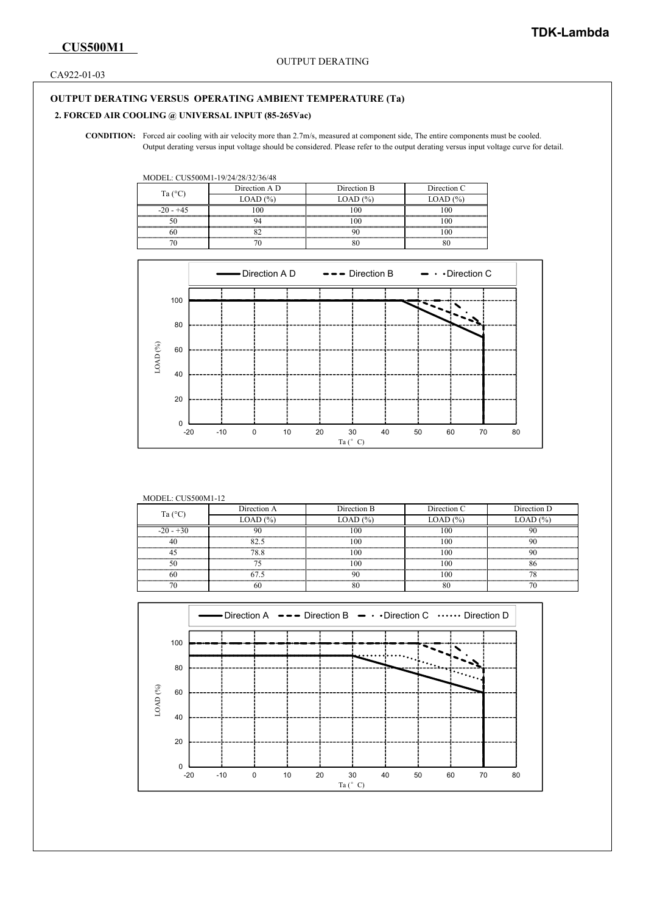CA922-01-03

## **OUTPUT DERATING VERSUS OPERATING AMBIENT TEMPERATURE (Ta)**

# **2. FORCED AIR COOLING @ UNIVERSAL INPUT (85-265Vac)**

 Forced air cooling with air velocity more than 2.7m/s, measured at component side, The entire components must be cooled. **CONDITION:** Output derating versus input voltage should be considered. Please refer to the output derating versus input voltage curve for detail.

MODEL: CUS500M1-19/24/28/32/36/48

| Ta $(^{\circ}C)$ | Direction A D | Direction B | Direction C |
|------------------|---------------|-------------|-------------|
|                  | LOAD (%)      | LOAD (%)    | LOAD (%)    |
| $-20 - +45$      | oc            |             |             |
|                  |               |             |             |
|                  |               |             |             |
|                  |               |             |             |



| <b>MODEL: CUS500M1-12</b> |              |                                                                                                                                                                                                                           |                |             |  |  |
|---------------------------|--------------|---------------------------------------------------------------------------------------------------------------------------------------------------------------------------------------------------------------------------|----------------|-------------|--|--|
| Ta $(^{\circ}C)$          | Direction A  | Direction B                                                                                                                                                                                                               |                | Direction D |  |  |
|                           | $LOAD (\% )$ | LOAD $(\% )$                                                                                                                                                                                                              | $LOAD$ $(\% )$ | LOAD (%)    |  |  |
| $-20 - 30$                |              |                                                                                                                                                                                                                           |                |             |  |  |
|                           |              |                                                                                                                                                                                                                           |                |             |  |  |
|                           |              |                                                                                                                                                                                                                           |                |             |  |  |
|                           |              |                                                                                                                                                                                                                           |                |             |  |  |
|                           |              | hood and a second and an anti-and and an anti-and and an and an and an and an and an and an and an and an and an and an anomal and an anomal and an anomal and an anomal and an anomal and an anomal and an anomal and an |                |             |  |  |
|                           |              |                                                                                                                                                                                                                           |                |             |  |  |